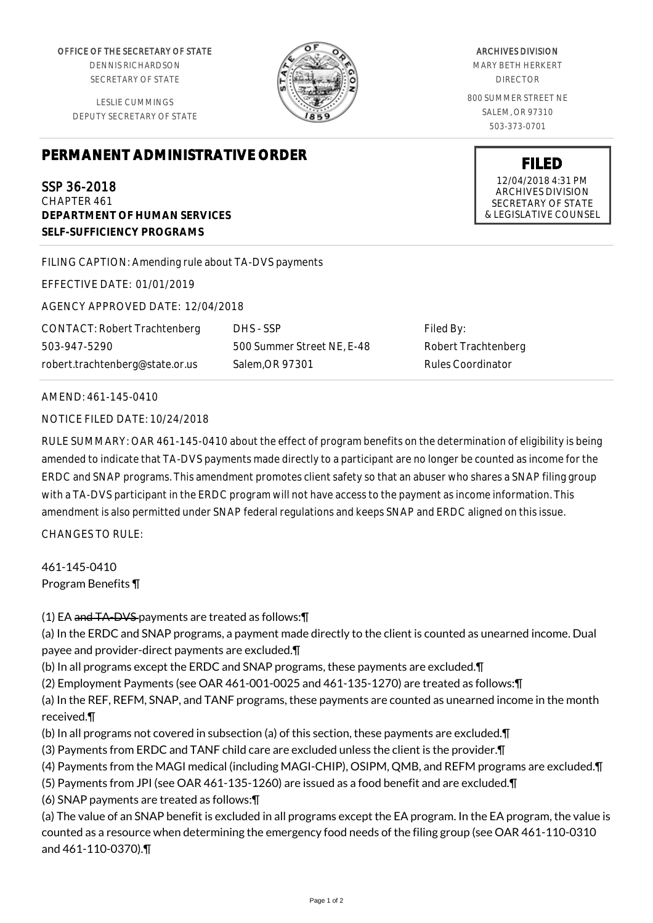OFFICE OF THE SECRETARY OF STATE

DENNIS RICHARDSON SECRETARY OF STATE

LESLIE CUMMINGS DEPUTY SECRETARY OF STATE

## **PERMANENT ADMINISTRATIVE ORDER**

SSP 36-2018 CHAPTER 461 **DEPARTMENT OF HUMAN SERVICES SELF-SUFFICIENCY PROGRAMS**

FILING CAPTION: Amending rule about TA-DVS payments

EFFECTIVE DATE: 01/01/2019

AGENCY APPROVED DATE: 12/04/2018

CONTACT: Robert Trachtenberg 503-947-5290 robert.trachtenberg@state.or.us

DHS - SSP 500 Summer Street NE, E-48 Salem,OR 97301

Filed By: Robert Trachtenberg Rules Coordinator

## AMEND: 461-145-0410

NOTICE FILED DATE: 10/24/2018

RULE SUMMARY: OAR 461-145-0410 about the effect of program benefits on the determination of eligibility is being amended to indicate that TA-DVS payments made directly to a participant are no longer be counted as income for the ERDC and SNAP programs. This amendment promotes client safety so that an abuser who shares a SNAP filing group with a TA-DVS participant in the ERDC program will not have access to the payment as income information. This amendment is also permitted under SNAP federal regulations and keeps SNAP and ERDC aligned on this issue.

CHANGES TO RULE:

461-145-0410 Program Benefits ¶

(1) EA and TA-DVS payments are treated as follows:¶

(a) In the ERDC and SNAP programs, a payment made directly to the client is counted as unearned income. Dual payee and provider-direct payments are excluded.¶

(b) In all programs except the ERDC and SNAP programs, these payments are excluded.¶

(2) Employment Payments (see OAR 461-001-0025 and 461-135-1270) are treated as follows:¶

(a) In the REF, REFM, SNAP, and TANF programs, these payments are counted as unearned income in the month received.¶

- (b) In all programs not covered in subsection (a) of this section, these payments are excluded.¶
- (3) Payments from ERDC and TANF child care are excluded unless the client is the provider.¶
- (4) Payments from the MAGI medical (including MAGI-CHIP), OSIPM, QMB, and REFM programs are excluded.¶
- (5) Payments from JPI (see OAR 461-135-1260) are issued as a food benefit and are excluded.¶

(6) SNAP payments are treated as follows:¶

(a) The value of an SNAP benefit is excluded in all programs except the EA program. In the EA program, the value is counted as a resource when determining the emergency food needs of the filing group (see OAR 461-110-0310 and 461-110-0370).¶

ARCHIVES DIVISION

MARY BETH HERKERT DIRECTOR

800 SUMMER STREET NE SALEM, OR 97310 503-373-0701

> **FILED** 12/04/2018 4:31 PM ARCHIVES DIVISION SECRETARY OF STATE & LEGISLATIVE COUNSEL